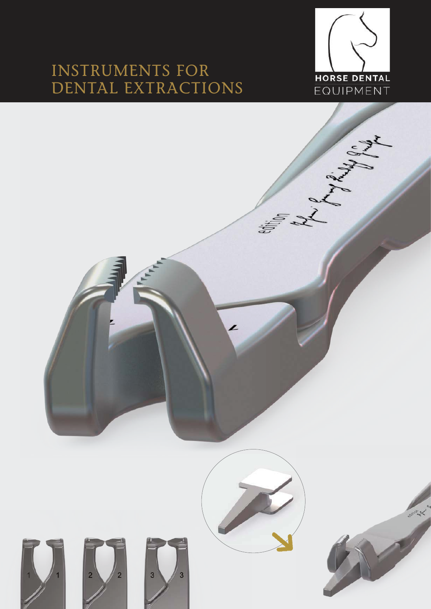### Instruments for Dental extractIons



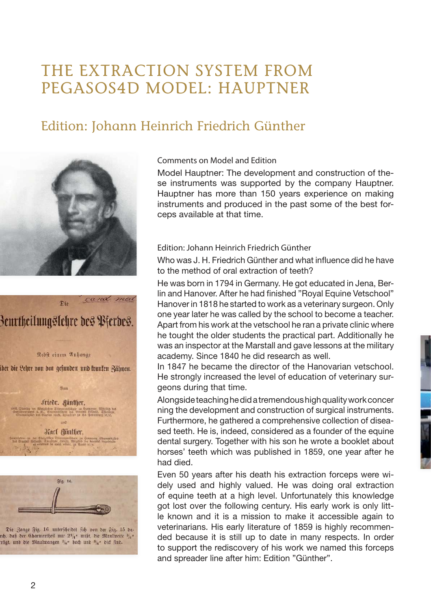### the extractIon sYstem from Pegasos4D moDel: hauPtner

### Edition: Johann Heinrich Friedrich Günther



# Beurtheilungslehre des Pierdes.

This

cand med

Rebft einem Anhange

ber die Lehre von den gefunden und franken Zähnen.





Die Zange Fig. 16 unterscheidet fich von der Fig. 15 da rc, daß der Charniertheil nur 21/4" mißt, die Maulweite 3/5" trägt, und die Maulwangen <sup>5</sup>/s" hoch und <sup>6</sup>/s" dict find.

Comments on Model and Edition

Model Hauptner: The development and construction of these instruments was supported by the company Hauptner. Hauptner has more than 150 years experience on making instruments and produced in the past some of the best forceps available at that time.

#### Edition: Johann Heinrich Friedrich Günther

Who was J. H. Friedrich Günther and what influence did he have to the method of oral extraction of teeth?

He was born in 1794 in Germany. He got educated in Jena, Berlin and Hanover. After he had finished "Royal Equine Vetschool" Hanover in 1818 he started to work as a veterinary surgeon. Only one year later he was called by the school to become a teacher. Apart from his work at the vetschool he ran a private clinic where he tought the older students the practical part. Additionally he was an inspector at the Marstall and gave lessons at the military academy. Since 1840 he did research as well.

In 1847 he became the director of the Hanovarian vetschool. He strongly increased the level of education of veterinary surgeons during that time.

Alongside teaching he did a tremendous high quality work concer ning the development and construction of surgical instruments. Furthermore, he gathered a comprehensive collection of diseased teeth. He is, indeed, considered as a founder of the equine dental surgery. Together with his son he wrote a booklet about horses' teeth which was published in 1859, one year after he had died.

Even 50 years after his death his extraction forceps were widely used and highly valued. He was doing oral extraction of equine teeth at a high level. Unfortunately this knowledge got lost over the following century. His early work is only little known and it is a mission to make it accessible again to veterinarians. His early literature of 1859 is highly recommended because it is still up to date in many respects. In order to support the rediscovery of his work we named this forceps and spreader line after him: Edition "Günther".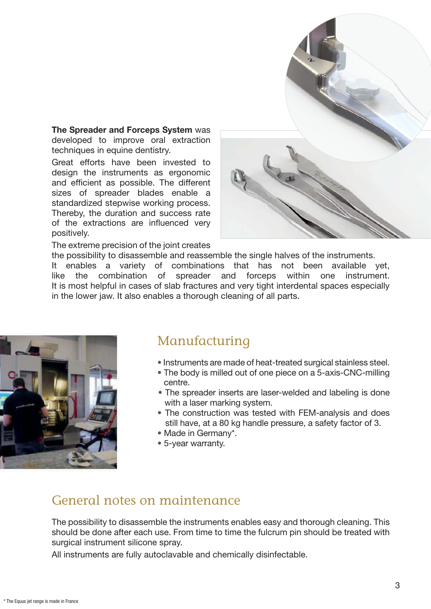The Spreader and Forceps System was developed to improve oral extraction techniques in equine dentistry.

Great efforts have been invested to design the instruments as ergonomic and efficient as possible. The different sizes of spreader blades enable a standardized stepwise working process. Thereby, the duration and success rate of the extractions are influenced very positively.

The extreme precision of the joint creates



the possibility to disassemble and reassemble the single halves of the instruments. It enables a variety of combinations that has not been available vet.

like the combination of spreader and forceps within one instrument. It is most helpful in cases of slab fractures and very tight interdental spaces especially in the lower jaw. It also enables a thorough cleaning of all parts.



#### Manufacturing

- Instruments are made of heat-treated surgical stainless steel.
- The body is milled out of one piece on a 5-axis-CNC-milling centre.
- The spreader inserts are laser-welded and labeling is done with a laser marking system.
- The construction was tested with FEM-analysis and does still have, at a 80 kg handle pressure, a safety factor of 3.
- Made in Germany\*.
- 5-year warranty.

#### General notes on maintenance

The possibility to disassemble the instruments enables easy and thorough cleaning. This should be done after each use. From time to time the fulcrum pin should be treated with surgical instrument silicone spray.

All instruments are fully autoclavable and chemically disinfectable.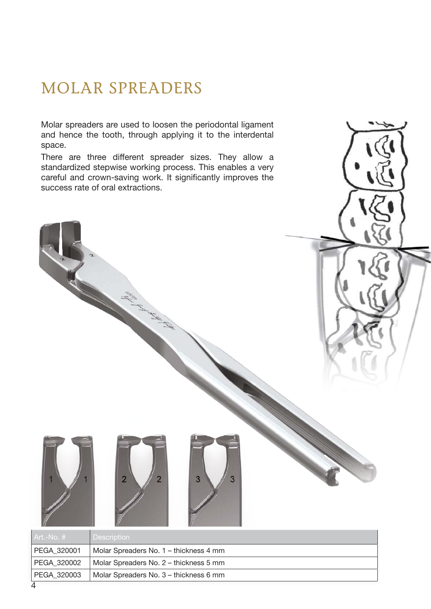### molar sPreaDers

Molar spreaders are used to loosen the periodontal ligament and hence the tooth, through applying it to the interdental space.

There are three different spreader sizes. They allow a standardized stepwise working process. This enables a very careful and crown-saving work. It significantly improves the success rate of oral extractions.

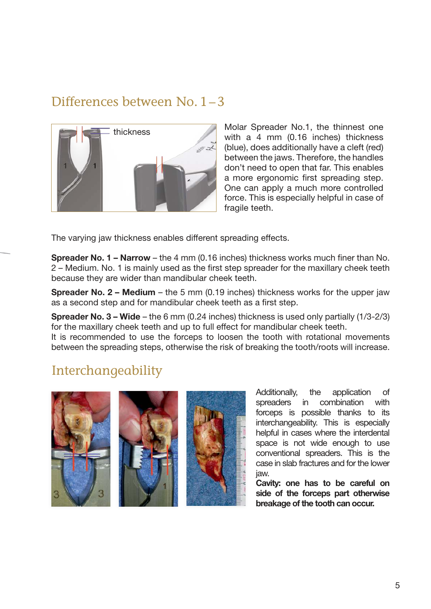#### Differences between No.  $1 - 3$



Molar Spreader No.1, the thinnest one with a 4 mm (0.16 inches) thickness (blue), does additionally have a cleft (red) between the jaws. Therefore, the handles don't need to open that far. This enables a more ergonomic first spreading step. One can apply a much more controlled force. This is especially helpful in case of fragile teeth.

The varying jaw thickness enables different spreading effects.

Spreader No. 1 – Narrow – the 4 mm (0.16 inches) thickness works much finer than No. 2 – Medium. No. 1 is mainly used as the first step spreader for the maxillary cheek teeth because they are wider than mandibular cheek teeth.

**Spreader No. 2 – Medium** – the 5 mm (0.19 inches) thickness works for the upper jaw as a second step and for mandibular cheek teeth as a first step.

Spreader No. 3 – Wide – the 6 mm (0.24 inches) thickness is used only partially (1/3-2/3) for the maxillary cheek teeth and up to full effect for mandibular cheek teeth.

It is recommended to use the forceps to loosen the tooth with rotational movements between the spreading steps, otherwise the risk of breaking the tooth/roots will increase.

### Interchangeability



Additionally, the application of spreaders in combination with forceps is possible thanks to its interchangeability. This is especially helpful in cases where the interdental space is not wide enough to use conventional spreaders. This is the case in slab fractures and for the lower jaw.

Cavity: one has to be careful on side of the forceps part otherwise breakage of the tooth can occur.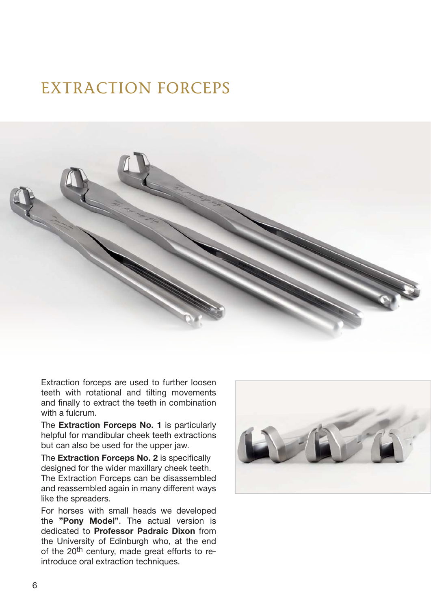## EXTRACTION FORCEPS



Extraction forceps are used to further loosen teeth with rotational and tilting movements and finally to extract the teeth in combination with a fulcrum.

The **Extraction Forceps No. 1** is particularly helpful for mandibular cheek teeth extractions but can also be used for the upper jaw.

The Extraction Forceps No. 2 is specifically designed for the wider maxillary cheek teeth. The Extraction Forceps can be disassembled and reassembled again in many different ways like the spreaders.

For horses with small heads we developed the "Pony Model". The actual version is dedicated to Professor Padraic Dixon from the University of Edinburgh who, at the end of the 20<sup>th</sup> century, made great efforts to reintroduce oral extraction techniques.

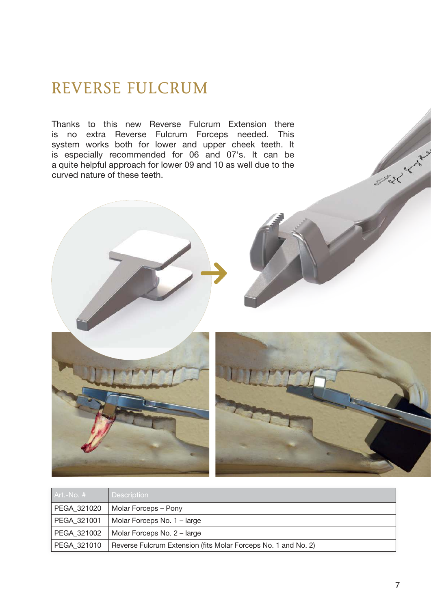### reVerse fulcrum

Thanks to this new Reverse Fulcrum Extension there is no extra Reverse Fulcrum Forceps needed. This system works both for lower and upper cheek teeth. It is especially recommended for 06 and 07's. It can be a quite helpful approach for lower 09 and 10 as well due to the curved nature of these teeth.



| l Art.-No. # l | <b>Description</b>                                             |
|----------------|----------------------------------------------------------------|
| PEGA 321020    | Molar Forceps – Pony                                           |
| PEGA 321001    | Molar Forceps No. 1 – large                                    |
| PEGA 321002    | Molar Forceps No. 2 – large                                    |
| PEGA 321010    | Reverse Fulcrum Extension (fits Molar Forceps No. 1 and No. 2) |